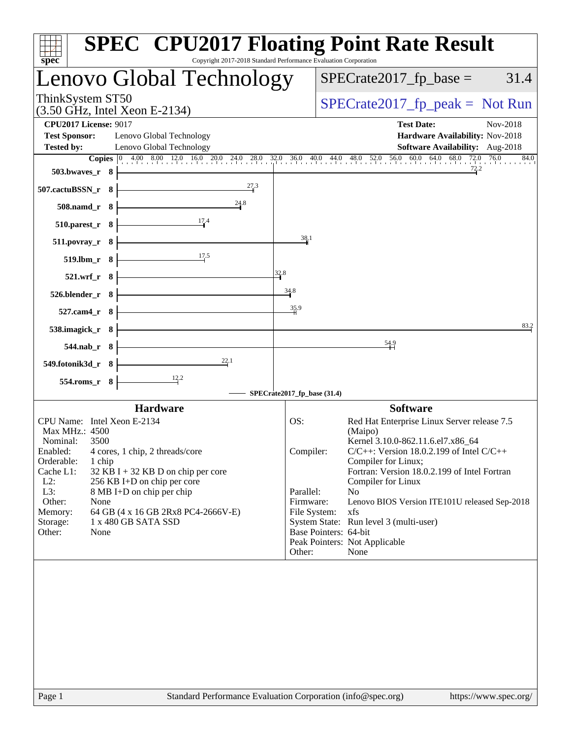| $spec^*$                                                                                                                                                                                          | <b>SPEC<sup>®</sup> CPU2017 Floating Point Rate Result</b><br>Copyright 2017-2018 Standard Performance Evaluation Corporation                                                                                                                    |
|---------------------------------------------------------------------------------------------------------------------------------------------------------------------------------------------------|--------------------------------------------------------------------------------------------------------------------------------------------------------------------------------------------------------------------------------------------------|
| Lenovo Global Technology                                                                                                                                                                          | $SPECrate2017fp base =$<br>31.4                                                                                                                                                                                                                  |
| ThinkSystem ST50<br>(3.50 GHz, Intel Xeon E-2134)                                                                                                                                                 | $SPECrate2017_fp\_peak = Not Run$                                                                                                                                                                                                                |
| <b>CPU2017 License: 9017</b><br><b>Test Sponsor:</b><br>Lenovo Global Technology<br><b>Tested by:</b><br>Lenovo Global Technology                                                                 | <b>Test Date:</b><br>Nov-2018<br>Hardware Availability: Nov-2018<br><b>Software Availability:</b> Aug-2018                                                                                                                                       |
| $503.bwaves_r$ 8<br>27.3<br>507.cactuBSSN_r 8                                                                                                                                                     | Copies 0 4.00 8.00 12.0 16.0 20.0 24.0 28.0 32.0 36.0 40.0 44.0 48.0 52.0 56.0 60.0 64.0 68.0 72.0 76.0<br>84.0                                                                                                                                  |
| 24.8<br>$508$ .namd_r $8$<br>17.4<br>510.parest_r 8                                                                                                                                               |                                                                                                                                                                                                                                                  |
| $511. povray_r 8$<br>17.5<br>519.lbm_r 8                                                                                                                                                          | 38.1                                                                                                                                                                                                                                             |
| $521.wrf_r$ 8<br>$526.blender_r 8$                                                                                                                                                                | 32.8<br>34.8                                                                                                                                                                                                                                     |
| $527$ .cam4_r $8$                                                                                                                                                                                 | 35.9<br>83.2                                                                                                                                                                                                                                     |
| 538.imagick_r 8<br>$544.nab_r$ 8                                                                                                                                                                  | $\frac{54.9}{1}$                                                                                                                                                                                                                                 |
| 22.1<br>549.fotonik3d_r 8<br>$\frac{12.2}{ }$<br>554.roms_r 8                                                                                                                                     |                                                                                                                                                                                                                                                  |
|                                                                                                                                                                                                   | SPECrate2017_fp_base (31.4)                                                                                                                                                                                                                      |
| <b>Hardware</b><br>CPU Name: Intel Xeon E-2134<br>Max MHz.: 4500                                                                                                                                  | <b>Software</b><br>Red Hat Enterprise Linux Server release 7.5<br>OS:<br>(Maipo)                                                                                                                                                                 |
| Nominal:<br>3500<br>Enabled:<br>4 cores, 1 chip, 2 threads/core<br>Orderable:<br>1 chip<br>Cache L1:<br>$32$ KB I + 32 KB D on chip per core                                                      | Kernel 3.10.0-862.11.6.el7.x86_64<br>$C/C++$ : Version 18.0.2.199 of Intel $C/C++$<br>Compiler:<br>Compiler for Linux;<br>Fortran: Version 18.0.2.199 of Intel Fortran                                                                           |
| $L2$ :<br>256 KB I+D on chip per core<br>L3:<br>8 MB I+D on chip per chip<br>Other:<br>None<br>Memory:<br>64 GB (4 x 16 GB 2Rx8 PC4-2666V-E)<br>1 x 480 GB SATA SSD<br>Storage:<br>Other:<br>None | Compiler for Linux<br>No<br>Parallel:<br>Firmware:<br>Lenovo BIOS Version ITE101U released Sep-2018<br>File System:<br>xfs<br>System State: Run level 3 (multi-user)<br>Base Pointers: 64-bit<br>Peak Pointers: Not Applicable<br>Other:<br>None |
|                                                                                                                                                                                                   |                                                                                                                                                                                                                                                  |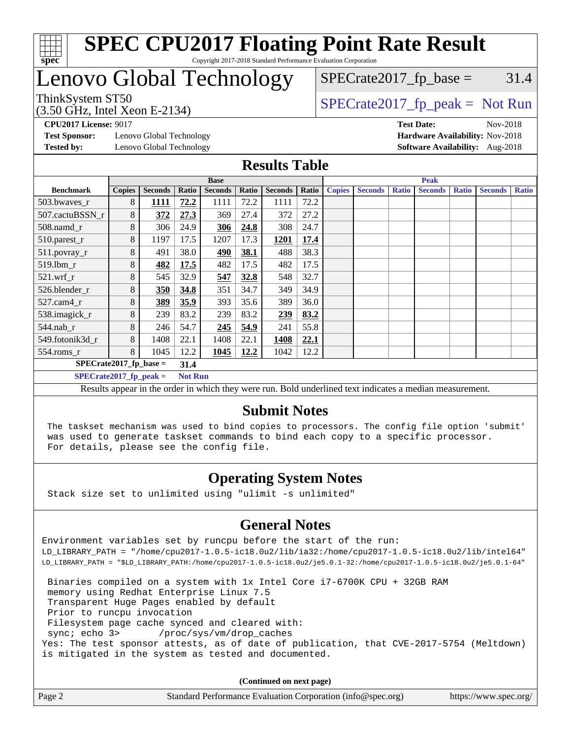

# Lenovo Global Technology

(3.50 GHz, Intel Xeon E-2134)

ThinkSystem ST50  $SPECrate2017$  fp\_peak = Not Run

 $SPECTate2017<sub>fp</sub> base =  $31.4$$ 

**[CPU2017 License:](http://www.spec.org/auto/cpu2017/Docs/result-fields.html#CPU2017License)** 9017 **[Test Date:](http://www.spec.org/auto/cpu2017/Docs/result-fields.html#TestDate)** Nov-2018

**[Test Sponsor:](http://www.spec.org/auto/cpu2017/Docs/result-fields.html#TestSponsor)** Lenovo Global Technology **[Hardware Availability:](http://www.spec.org/auto/cpu2017/Docs/result-fields.html#HardwareAvailability)** Nov-2018 **[Tested by:](http://www.spec.org/auto/cpu2017/Docs/result-fields.html#Testedby)** Lenovo Global Technology **[Software Availability:](http://www.spec.org/auto/cpu2017/Docs/result-fields.html#SoftwareAvailability)** Aug-2018

#### **[Results Table](http://www.spec.org/auto/cpu2017/Docs/result-fields.html#ResultsTable)**

|                                             |               |                |       | <b>Base</b>    |       |                |       | <b>Peak</b>   |                |              |                |              |                |              |
|---------------------------------------------|---------------|----------------|-------|----------------|-------|----------------|-------|---------------|----------------|--------------|----------------|--------------|----------------|--------------|
| <b>Benchmark</b>                            | <b>Copies</b> | <b>Seconds</b> | Ratio | <b>Seconds</b> | Ratio | <b>Seconds</b> | Ratio | <b>Copies</b> | <b>Seconds</b> | <b>Ratio</b> | <b>Seconds</b> | <b>Ratio</b> | <b>Seconds</b> | <b>Ratio</b> |
| 503.bwayes_r                                | 8             | 1111           | 72.2  | 1111           | 72.2  | 1111           | 72.2  |               |                |              |                |              |                |              |
| 507.cactuBSSN r                             | 8             | 372            | 27.3  | 369            | 27.4  | 372            | 27.2  |               |                |              |                |              |                |              |
| 508.namd_r                                  | 8             | 306            | 24.9  | 306            | 24.8  | 308            | 24.7  |               |                |              |                |              |                |              |
| 510.parest_r                                | 8             | 1197           | 17.5  | 1207           | 17.3  | 1201           | 17.4  |               |                |              |                |              |                |              |
| 511.povray_r                                | 8             | 491            | 38.0  | <u>490</u>     | 38.1  | 488            | 38.3  |               |                |              |                |              |                |              |
| 519.lbm r                                   | 8             | 482            | 17.5  | 482            | 17.5  | 482            | 17.5  |               |                |              |                |              |                |              |
| $521$ .wrf r                                | 8             | 545            | 32.9  | 547            | 32.8  | 548            | 32.7  |               |                |              |                |              |                |              |
| 526.blender r                               | 8             | 350            | 34.8  | 351            | 34.7  | 349            | 34.9  |               |                |              |                |              |                |              |
| $527$ .cam $4r$                             | 8             | 389            | 35.9  | 393            | 35.6  | 389            | 36.0  |               |                |              |                |              |                |              |
| 538.imagick_r                               | 8             | 239            | 83.2  | 239            | 83.2  | 239            | 83.2  |               |                |              |                |              |                |              |
| $544$ .nab_r                                | 8             | 246            | 54.7  | 245            | 54.9  | 241            | 55.8  |               |                |              |                |              |                |              |
| 549.fotonik3d r                             | 8             | 1408           | 22.1  | 1408           | 22.1  | 1408           | 22.1  |               |                |              |                |              |                |              |
| $554$ .roms_r                               | 8             | 1045           | 12.2  | 1045           | 12.2  | 1042           | 12.2  |               |                |              |                |              |                |              |
| $SPECrate2017$ fp base =<br>31.4            |               |                |       |                |       |                |       |               |                |              |                |              |                |              |
| $SPECrate2017$ _fp_peak =<br><b>Not Run</b> |               |                |       |                |       |                |       |               |                |              |                |              |                |              |

Results appear in the [order in which they were run](http://www.spec.org/auto/cpu2017/Docs/result-fields.html#RunOrder). Bold underlined text [indicates a median measurement](http://www.spec.org/auto/cpu2017/Docs/result-fields.html#Median).

#### **[Submit Notes](http://www.spec.org/auto/cpu2017/Docs/result-fields.html#SubmitNotes)**

 The taskset mechanism was used to bind copies to processors. The config file option 'submit' was used to generate taskset commands to bind each copy to a specific processor. For details, please see the config file.

### **[Operating System Notes](http://www.spec.org/auto/cpu2017/Docs/result-fields.html#OperatingSystemNotes)**

Stack size set to unlimited using "ulimit -s unlimited"

#### **[General Notes](http://www.spec.org/auto/cpu2017/Docs/result-fields.html#GeneralNotes)**

Environment variables set by runcpu before the start of the run: LD\_LIBRARY\_PATH = "/home/cpu2017-1.0.5-ic18.0u2/lib/ia32:/home/cpu2017-1.0.5-ic18.0u2/lib/intel64" LD\_LIBRARY\_PATH = "\$LD\_LIBRARY\_PATH:/home/cpu2017-1.0.5-ic18.0u2/je5.0.1-32:/home/cpu2017-1.0.5-ic18.0u2/je5.0.1-64"

 Binaries compiled on a system with 1x Intel Core i7-6700K CPU + 32GB RAM memory using Redhat Enterprise Linux 7.5 Transparent Huge Pages enabled by default Prior to runcpu invocation Filesystem page cache synced and cleared with: sync; echo 3> /proc/sys/vm/drop\_caches Yes: The test sponsor attests, as of date of publication, that CVE-2017-5754 (Meltdown) is mitigated in the system as tested and documented.

**(Continued on next page)**

| Page 2 | Standard Performance Evaluation Corporation (info@spec.org) | https://www.spec.org/ |
|--------|-------------------------------------------------------------|-----------------------|
|--------|-------------------------------------------------------------|-----------------------|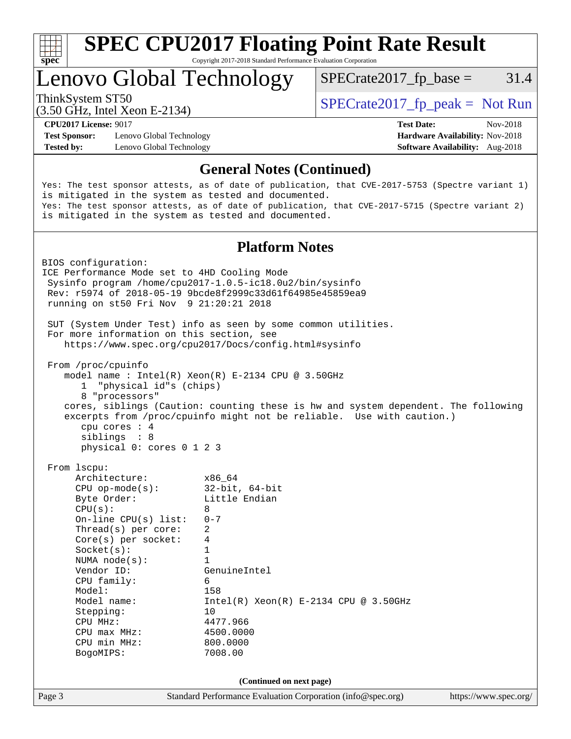

# Lenovo Global Technology

 $SPECTate2017<sub>fp</sub> base =  $31.4$$ 

(3.50 GHz, Intel Xeon E-2134)

ThinkSystem ST50  $SPECrate2017$  fp\_peak = Not Run

**[Test Sponsor:](http://www.spec.org/auto/cpu2017/Docs/result-fields.html#TestSponsor)** Lenovo Global Technology **[Hardware Availability:](http://www.spec.org/auto/cpu2017/Docs/result-fields.html#HardwareAvailability)** Nov-2018 **[Tested by:](http://www.spec.org/auto/cpu2017/Docs/result-fields.html#Testedby)** Lenovo Global Technology **[Software Availability:](http://www.spec.org/auto/cpu2017/Docs/result-fields.html#SoftwareAvailability)** Aug-2018

**[CPU2017 License:](http://www.spec.org/auto/cpu2017/Docs/result-fields.html#CPU2017License)** 9017 **[Test Date:](http://www.spec.org/auto/cpu2017/Docs/result-fields.html#TestDate)** Nov-2018

#### **[General Notes \(Continued\)](http://www.spec.org/auto/cpu2017/Docs/result-fields.html#GeneralNotes)**

Yes: The test sponsor attests, as of date of publication, that CVE-2017-5753 (Spectre variant 1) is mitigated in the system as tested and documented. Yes: The test sponsor attests, as of date of publication, that CVE-2017-5715 (Spectre variant 2) is mitigated in the system as tested and documented.

#### **[Platform Notes](http://www.spec.org/auto/cpu2017/Docs/result-fields.html#PlatformNotes)**

Page 3 Standard Performance Evaluation Corporation [\(info@spec.org\)](mailto:info@spec.org) <https://www.spec.org/> BIOS configuration: ICE Performance Mode set to 4HD Cooling Mode Sysinfo program /home/cpu2017-1.0.5-ic18.0u2/bin/sysinfo Rev: r5974 of 2018-05-19 9bcde8f2999c33d61f64985e45859ea9 running on st50 Fri Nov 9 21:20:21 2018 SUT (System Under Test) info as seen by some common utilities. For more information on this section, see <https://www.spec.org/cpu2017/Docs/config.html#sysinfo> From /proc/cpuinfo model name : Intel(R) Xeon(R) E-2134 CPU @ 3.50GHz 1 "physical id"s (chips) 8 "processors" cores, siblings (Caution: counting these is hw and system dependent. The following excerpts from /proc/cpuinfo might not be reliable. Use with caution.) cpu cores : 4 siblings : 8 physical 0: cores 0 1 2 3 From lscpu: Architecture: x86\_64 CPU op-mode(s): 32-bit, 64-bit Byte Order: Little Endian  $CPU(s): 8$  On-line CPU(s) list: 0-7 Thread(s) per core: 2 Core(s) per socket: 4 Socket(s): 1 NUMA node(s): 1 Vendor ID: GenuineIntel CPU family: 6 Model: 158 Model name: Intel(R) Xeon(R) E-2134 CPU @ 3.50GHz<br>Stepping: 10 Stepping: CPU MHz: 4477.966 CPU max MHz: 4500.0000 CPU min MHz: 800.0000 BogoMIPS: 7008.00 **(Continued on next page)**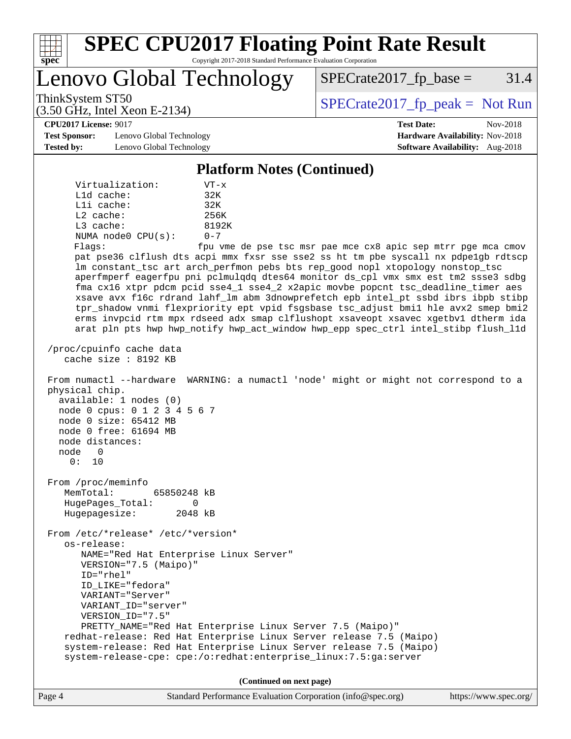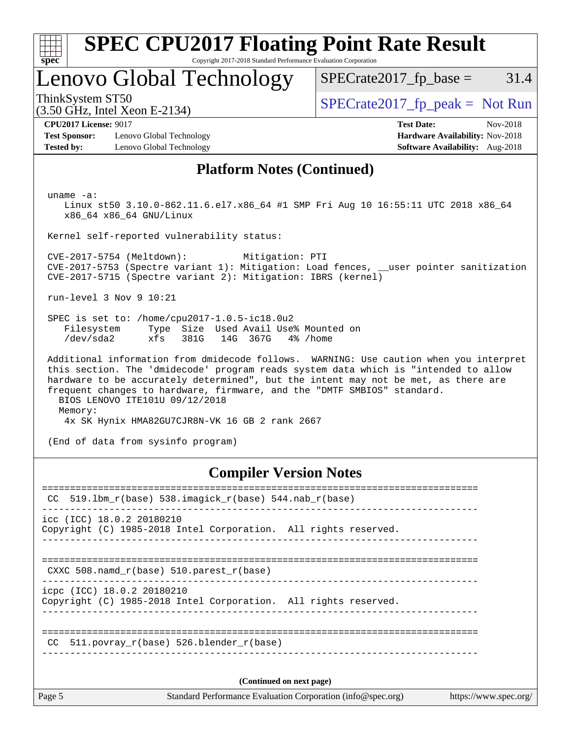

# **[SPEC CPU2017 Floating Point Rate Result](http://www.spec.org/auto/cpu2017/Docs/result-fields.html#SPECCPU2017FloatingPointRateResult)**

Copyright 2017-2018 Standard Performance Evaluation Corporation

### Lenovo Global Technology

 $SPECTate2017<sub>fp</sub> base =  $31.4$$ 

(3.50 GHz, Intel Xeon E-2134)

ThinkSystem ST50<br>(3.50 GHz, Intel Xeon E-2134) [SPECrate2017\\_fp\\_peak =](http://www.spec.org/auto/cpu2017/Docs/result-fields.html#SPECrate2017fppeak) Not Run

**[Test Sponsor:](http://www.spec.org/auto/cpu2017/Docs/result-fields.html#TestSponsor)** Lenovo Global Technology **[Hardware Availability:](http://www.spec.org/auto/cpu2017/Docs/result-fields.html#HardwareAvailability)** Nov-2018 **[Tested by:](http://www.spec.org/auto/cpu2017/Docs/result-fields.html#Testedby)** Lenovo Global Technology **[Software Availability:](http://www.spec.org/auto/cpu2017/Docs/result-fields.html#SoftwareAvailability)** Aug-2018

**[CPU2017 License:](http://www.spec.org/auto/cpu2017/Docs/result-fields.html#CPU2017License)** 9017 **[Test Date:](http://www.spec.org/auto/cpu2017/Docs/result-fields.html#TestDate)** Nov-2018

#### **[Platform Notes \(Continued\)](http://www.spec.org/auto/cpu2017/Docs/result-fields.html#PlatformNotes)**

uname -a:

 Linux st50 3.10.0-862.11.6.el7.x86\_64 #1 SMP Fri Aug 10 16:55:11 UTC 2018 x86\_64 x86\_64 x86\_64 GNU/Linux

Kernel self-reported vulnerability status:

 CVE-2017-5754 (Meltdown): Mitigation: PTI CVE-2017-5753 (Spectre variant 1): Mitigation: Load fences, \_\_user pointer sanitization CVE-2017-5715 (Spectre variant 2): Mitigation: IBRS (kernel)

run-level 3 Nov 9 10:21

 SPEC is set to: /home/cpu2017-1.0.5-ic18.0u2 Filesystem Type Size Used Avail Use% Mounted on /dev/sda2 xfs 381G 14G 367G 4% /home

 Additional information from dmidecode follows. WARNING: Use caution when you interpret this section. The 'dmidecode' program reads system data which is "intended to allow hardware to be accurately determined", but the intent may not be met, as there are frequent changes to hardware, firmware, and the "DMTF SMBIOS" standard. BIOS LENOVO ITE101U 09/12/2018 Memory: 4x SK Hynix HMA82GU7CJR8N-VK 16 GB 2 rank 2667

(End of data from sysinfo program)

### **[Compiler Version Notes](http://www.spec.org/auto/cpu2017/Docs/result-fields.html#CompilerVersionNotes)**

| CC.    | $519.1$ bm_r(base) $538.imagick_r(base)$ $544.nab_r(base)$                                    |  |
|--------|-----------------------------------------------------------------------------------------------|--|
|        | icc (ICC) 18.0.2 20180210<br>Copyright (C) 1985-2018 Intel Corporation. All rights reserved.  |  |
|        | CXXC 508. namd $r(base)$ 510. parest $r(base)$                                                |  |
|        | icpc (ICC) 18.0.2 20180210<br>Copyright (C) 1985-2018 Intel Corporation. All rights reserved. |  |
| CC.    | 511.povray r(base) 526.blender r(base)                                                        |  |
|        | (Continued on next page)                                                                      |  |
| Page 5 | Standard Performance Evaluation Corporation (info@spec.org)<br>https://www.spec.org/          |  |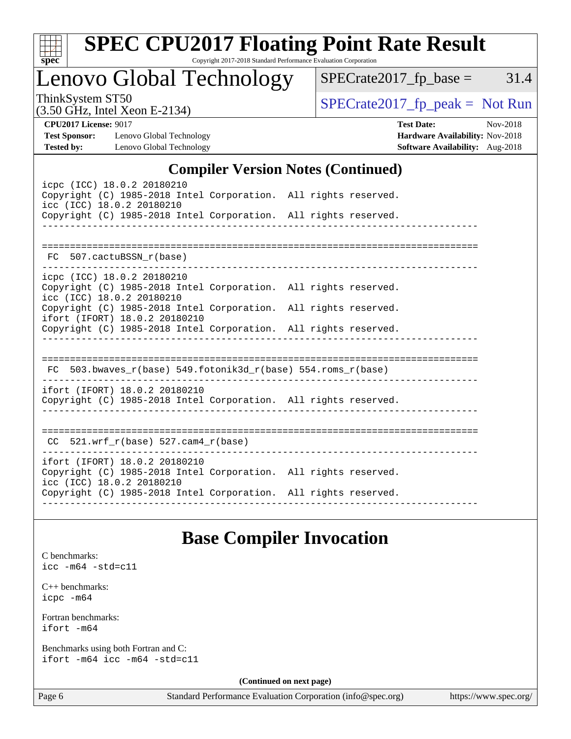

# **[SPEC CPU2017 Floating Point Rate Result](http://www.spec.org/auto/cpu2017/Docs/result-fields.html#SPECCPU2017FloatingPointRateResult)**

Copyright 2017-2018 Standard Performance Evaluation Corporation

Lenovo Global Technology

 $SPECTate2017_fp\_base = 31.4$ 

(3.50 GHz, Intel Xeon E-2134)

ThinkSystem ST50<br>  $(3.50 \text{ GHz. Intel Yoon E } 2134)$  [SPECrate2017\\_fp\\_peak =](http://www.spec.org/auto/cpu2017/Docs/result-fields.html#SPECrate2017fppeak) Not Run

**[Tested by:](http://www.spec.org/auto/cpu2017/Docs/result-fields.html#Testedby)** Lenovo Global Technology **[Software Availability:](http://www.spec.org/auto/cpu2017/Docs/result-fields.html#SoftwareAvailability)** Aug-2018

**[CPU2017 License:](http://www.spec.org/auto/cpu2017/Docs/result-fields.html#CPU2017License)** 9017 **[Test Date:](http://www.spec.org/auto/cpu2017/Docs/result-fields.html#TestDate)** Nov-2018 **[Test Sponsor:](http://www.spec.org/auto/cpu2017/Docs/result-fields.html#TestSponsor)** Lenovo Global Technology **[Hardware Availability:](http://www.spec.org/auto/cpu2017/Docs/result-fields.html#HardwareAvailability)** Nov-2018

#### **[Compiler Version Notes \(Continued\)](http://www.spec.org/auto/cpu2017/Docs/result-fields.html#CompilerVersionNotes)**

| icpc (ICC) 18.0.2 20180210<br>Copyright (C) 1985-2018 Intel Corporation. All rights reserved.<br>icc (ICC) 18.0.2 20180210<br>Copyright (C) 1985-2018 Intel Corporation. All rights reserved.    |  |
|--------------------------------------------------------------------------------------------------------------------------------------------------------------------------------------------------|--|
| FC 507.cactuBSSN r(base)                                                                                                                                                                         |  |
| icpc (ICC) 18.0.2 20180210<br>Copyright (C) 1985-2018 Intel Corporation. All rights reserved.<br>icc (ICC) 18.0.2 20180210                                                                       |  |
| Copyright (C) 1985-2018 Intel Corporation. All rights reserved.<br>ifort (IFORT) 18.0.2 20180210<br>Copyright (C) 1985-2018 Intel Corporation. All rights reserved.                              |  |
|                                                                                                                                                                                                  |  |
| FC 503.bwaves_r(base) 549.fotonik3d_r(base) 554.roms_r(base)                                                                                                                                     |  |
| ifort (IFORT) 18.0.2 20180210<br>Copyright (C) 1985-2018 Intel Corporation. All rights reserved.                                                                                                 |  |
| $CC$ 521.wrf_r(base) 527.cam4_r(base)                                                                                                                                                            |  |
| ifort (IFORT) 18.0.2 20180210<br>Copyright (C) 1985-2018 Intel Corporation. All rights reserved.<br>icc (ICC) 18.0.2 20180210<br>Copyright (C) 1985-2018 Intel Corporation. All rights reserved. |  |
|                                                                                                                                                                                                  |  |

### **[Base Compiler Invocation](http://www.spec.org/auto/cpu2017/Docs/result-fields.html#BaseCompilerInvocation)**

[C benchmarks](http://www.spec.org/auto/cpu2017/Docs/result-fields.html#Cbenchmarks): [icc -m64 -std=c11](http://www.spec.org/cpu2017/results/res2018q4/cpu2017-20181113-09692.flags.html#user_CCbase_intel_icc_64bit_c11_33ee0cdaae7deeeab2a9725423ba97205ce30f63b9926c2519791662299b76a0318f32ddfffdc46587804de3178b4f9328c46fa7c2b0cd779d7a61945c91cd35)

[C++ benchmarks:](http://www.spec.org/auto/cpu2017/Docs/result-fields.html#CXXbenchmarks) [icpc -m64](http://www.spec.org/cpu2017/results/res2018q4/cpu2017-20181113-09692.flags.html#user_CXXbase_intel_icpc_64bit_4ecb2543ae3f1412ef961e0650ca070fec7b7afdcd6ed48761b84423119d1bf6bdf5cad15b44d48e7256388bc77273b966e5eb805aefd121eb22e9299b2ec9d9)

[Fortran benchmarks](http://www.spec.org/auto/cpu2017/Docs/result-fields.html#Fortranbenchmarks): [ifort -m64](http://www.spec.org/cpu2017/results/res2018q4/cpu2017-20181113-09692.flags.html#user_FCbase_intel_ifort_64bit_24f2bb282fbaeffd6157abe4f878425411749daecae9a33200eee2bee2fe76f3b89351d69a8130dd5949958ce389cf37ff59a95e7a40d588e8d3a57e0c3fd751)

[Benchmarks using both Fortran and C](http://www.spec.org/auto/cpu2017/Docs/result-fields.html#BenchmarksusingbothFortranandC): [ifort -m64](http://www.spec.org/cpu2017/results/res2018q4/cpu2017-20181113-09692.flags.html#user_CC_FCbase_intel_ifort_64bit_24f2bb282fbaeffd6157abe4f878425411749daecae9a33200eee2bee2fe76f3b89351d69a8130dd5949958ce389cf37ff59a95e7a40d588e8d3a57e0c3fd751) [icc -m64 -std=c11](http://www.spec.org/cpu2017/results/res2018q4/cpu2017-20181113-09692.flags.html#user_CC_FCbase_intel_icc_64bit_c11_33ee0cdaae7deeeab2a9725423ba97205ce30f63b9926c2519791662299b76a0318f32ddfffdc46587804de3178b4f9328c46fa7c2b0cd779d7a61945c91cd35)

**(Continued on next page)**

Page 6 Standard Performance Evaluation Corporation [\(info@spec.org\)](mailto:info@spec.org) <https://www.spec.org/>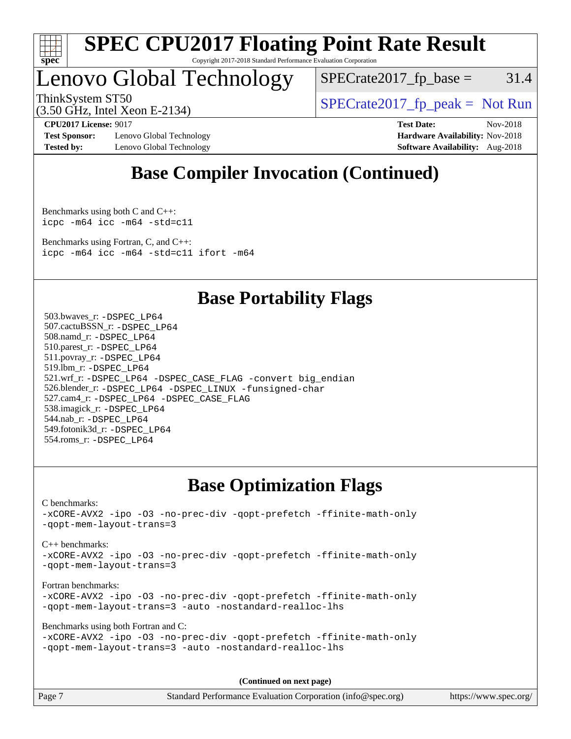

# Lenovo Global Technology

 $SPECTate2017<sub>fp</sub> base =  $31.4$$ 

(3.50 GHz, Intel Xeon E-2134)

ThinkSystem ST50  $SPECrate2017$  fp\_peak = Not Run

**[Test Sponsor:](http://www.spec.org/auto/cpu2017/Docs/result-fields.html#TestSponsor)** Lenovo Global Technology **[Hardware Availability:](http://www.spec.org/auto/cpu2017/Docs/result-fields.html#HardwareAvailability)** Nov-2018 **[Tested by:](http://www.spec.org/auto/cpu2017/Docs/result-fields.html#Testedby)** Lenovo Global Technology **[Software Availability:](http://www.spec.org/auto/cpu2017/Docs/result-fields.html#SoftwareAvailability)** Aug-2018

**[CPU2017 License:](http://www.spec.org/auto/cpu2017/Docs/result-fields.html#CPU2017License)** 9017 **[Test Date:](http://www.spec.org/auto/cpu2017/Docs/result-fields.html#TestDate)** Nov-2018

### **[Base Compiler Invocation \(Continued\)](http://www.spec.org/auto/cpu2017/Docs/result-fields.html#BaseCompilerInvocation)**

[Benchmarks using both C and C++](http://www.spec.org/auto/cpu2017/Docs/result-fields.html#BenchmarksusingbothCandCXX): [icpc -m64](http://www.spec.org/cpu2017/results/res2018q4/cpu2017-20181113-09692.flags.html#user_CC_CXXbase_intel_icpc_64bit_4ecb2543ae3f1412ef961e0650ca070fec7b7afdcd6ed48761b84423119d1bf6bdf5cad15b44d48e7256388bc77273b966e5eb805aefd121eb22e9299b2ec9d9) [icc -m64 -std=c11](http://www.spec.org/cpu2017/results/res2018q4/cpu2017-20181113-09692.flags.html#user_CC_CXXbase_intel_icc_64bit_c11_33ee0cdaae7deeeab2a9725423ba97205ce30f63b9926c2519791662299b76a0318f32ddfffdc46587804de3178b4f9328c46fa7c2b0cd779d7a61945c91cd35)

[Benchmarks using Fortran, C, and C++:](http://www.spec.org/auto/cpu2017/Docs/result-fields.html#BenchmarksusingFortranCandCXX) [icpc -m64](http://www.spec.org/cpu2017/results/res2018q4/cpu2017-20181113-09692.flags.html#user_CC_CXX_FCbase_intel_icpc_64bit_4ecb2543ae3f1412ef961e0650ca070fec7b7afdcd6ed48761b84423119d1bf6bdf5cad15b44d48e7256388bc77273b966e5eb805aefd121eb22e9299b2ec9d9) [icc -m64 -std=c11](http://www.spec.org/cpu2017/results/res2018q4/cpu2017-20181113-09692.flags.html#user_CC_CXX_FCbase_intel_icc_64bit_c11_33ee0cdaae7deeeab2a9725423ba97205ce30f63b9926c2519791662299b76a0318f32ddfffdc46587804de3178b4f9328c46fa7c2b0cd779d7a61945c91cd35) [ifort -m64](http://www.spec.org/cpu2017/results/res2018q4/cpu2017-20181113-09692.flags.html#user_CC_CXX_FCbase_intel_ifort_64bit_24f2bb282fbaeffd6157abe4f878425411749daecae9a33200eee2bee2fe76f3b89351d69a8130dd5949958ce389cf37ff59a95e7a40d588e8d3a57e0c3fd751)

### **[Base Portability Flags](http://www.spec.org/auto/cpu2017/Docs/result-fields.html#BasePortabilityFlags)**

 503.bwaves\_r: [-DSPEC\\_LP64](http://www.spec.org/cpu2017/results/res2018q4/cpu2017-20181113-09692.flags.html#suite_basePORTABILITY503_bwaves_r_DSPEC_LP64) 507.cactuBSSN\_r: [-DSPEC\\_LP64](http://www.spec.org/cpu2017/results/res2018q4/cpu2017-20181113-09692.flags.html#suite_basePORTABILITY507_cactuBSSN_r_DSPEC_LP64) 508.namd\_r: [-DSPEC\\_LP64](http://www.spec.org/cpu2017/results/res2018q4/cpu2017-20181113-09692.flags.html#suite_basePORTABILITY508_namd_r_DSPEC_LP64) 510.parest\_r: [-DSPEC\\_LP64](http://www.spec.org/cpu2017/results/res2018q4/cpu2017-20181113-09692.flags.html#suite_basePORTABILITY510_parest_r_DSPEC_LP64) 511.povray\_r: [-DSPEC\\_LP64](http://www.spec.org/cpu2017/results/res2018q4/cpu2017-20181113-09692.flags.html#suite_basePORTABILITY511_povray_r_DSPEC_LP64) 519.lbm\_r: [-DSPEC\\_LP64](http://www.spec.org/cpu2017/results/res2018q4/cpu2017-20181113-09692.flags.html#suite_basePORTABILITY519_lbm_r_DSPEC_LP64) 521.wrf\_r: [-DSPEC\\_LP64](http://www.spec.org/cpu2017/results/res2018q4/cpu2017-20181113-09692.flags.html#suite_basePORTABILITY521_wrf_r_DSPEC_LP64) [-DSPEC\\_CASE\\_FLAG](http://www.spec.org/cpu2017/results/res2018q4/cpu2017-20181113-09692.flags.html#b521.wrf_r_baseCPORTABILITY_DSPEC_CASE_FLAG) [-convert big\\_endian](http://www.spec.org/cpu2017/results/res2018q4/cpu2017-20181113-09692.flags.html#user_baseFPORTABILITY521_wrf_r_convert_big_endian_c3194028bc08c63ac5d04de18c48ce6d347e4e562e8892b8bdbdc0214820426deb8554edfa529a3fb25a586e65a3d812c835984020483e7e73212c4d31a38223) 526.blender\_r: [-DSPEC\\_LP64](http://www.spec.org/cpu2017/results/res2018q4/cpu2017-20181113-09692.flags.html#suite_basePORTABILITY526_blender_r_DSPEC_LP64) [-DSPEC\\_LINUX](http://www.spec.org/cpu2017/results/res2018q4/cpu2017-20181113-09692.flags.html#b526.blender_r_baseCPORTABILITY_DSPEC_LINUX) [-funsigned-char](http://www.spec.org/cpu2017/results/res2018q4/cpu2017-20181113-09692.flags.html#user_baseCPORTABILITY526_blender_r_force_uchar_40c60f00ab013830e2dd6774aeded3ff59883ba5a1fc5fc14077f794d777847726e2a5858cbc7672e36e1b067e7e5c1d9a74f7176df07886a243d7cc18edfe67) 527.cam4\_r: [-DSPEC\\_LP64](http://www.spec.org/cpu2017/results/res2018q4/cpu2017-20181113-09692.flags.html#suite_basePORTABILITY527_cam4_r_DSPEC_LP64) [-DSPEC\\_CASE\\_FLAG](http://www.spec.org/cpu2017/results/res2018q4/cpu2017-20181113-09692.flags.html#b527.cam4_r_baseCPORTABILITY_DSPEC_CASE_FLAG) 538.imagick\_r: [-DSPEC\\_LP64](http://www.spec.org/cpu2017/results/res2018q4/cpu2017-20181113-09692.flags.html#suite_basePORTABILITY538_imagick_r_DSPEC_LP64) 544.nab\_r: [-DSPEC\\_LP64](http://www.spec.org/cpu2017/results/res2018q4/cpu2017-20181113-09692.flags.html#suite_basePORTABILITY544_nab_r_DSPEC_LP64) 549.fotonik3d\_r: [-DSPEC\\_LP64](http://www.spec.org/cpu2017/results/res2018q4/cpu2017-20181113-09692.flags.html#suite_basePORTABILITY549_fotonik3d_r_DSPEC_LP64) 554.roms\_r: [-DSPEC\\_LP64](http://www.spec.org/cpu2017/results/res2018q4/cpu2017-20181113-09692.flags.html#suite_basePORTABILITY554_roms_r_DSPEC_LP64)

### **[Base Optimization Flags](http://www.spec.org/auto/cpu2017/Docs/result-fields.html#BaseOptimizationFlags)**

[C benchmarks](http://www.spec.org/auto/cpu2017/Docs/result-fields.html#Cbenchmarks): [-xCORE-AVX2](http://www.spec.org/cpu2017/results/res2018q4/cpu2017-20181113-09692.flags.html#user_CCbase_f-xCORE-AVX2) [-ipo](http://www.spec.org/cpu2017/results/res2018q4/cpu2017-20181113-09692.flags.html#user_CCbase_f-ipo) [-O3](http://www.spec.org/cpu2017/results/res2018q4/cpu2017-20181113-09692.flags.html#user_CCbase_f-O3) [-no-prec-div](http://www.spec.org/cpu2017/results/res2018q4/cpu2017-20181113-09692.flags.html#user_CCbase_f-no-prec-div) [-qopt-prefetch](http://www.spec.org/cpu2017/results/res2018q4/cpu2017-20181113-09692.flags.html#user_CCbase_f-qopt-prefetch) [-ffinite-math-only](http://www.spec.org/cpu2017/results/res2018q4/cpu2017-20181113-09692.flags.html#user_CCbase_f_finite_math_only_cb91587bd2077682c4b38af759c288ed7c732db004271a9512da14a4f8007909a5f1427ecbf1a0fb78ff2a814402c6114ac565ca162485bbcae155b5e4258871) [-qopt-mem-layout-trans=3](http://www.spec.org/cpu2017/results/res2018q4/cpu2017-20181113-09692.flags.html#user_CCbase_f-qopt-mem-layout-trans_de80db37974c74b1f0e20d883f0b675c88c3b01e9d123adea9b28688d64333345fb62bc4a798493513fdb68f60282f9a726aa07f478b2f7113531aecce732043) [C++ benchmarks:](http://www.spec.org/auto/cpu2017/Docs/result-fields.html#CXXbenchmarks) [-xCORE-AVX2](http://www.spec.org/cpu2017/results/res2018q4/cpu2017-20181113-09692.flags.html#user_CXXbase_f-xCORE-AVX2) [-ipo](http://www.spec.org/cpu2017/results/res2018q4/cpu2017-20181113-09692.flags.html#user_CXXbase_f-ipo) [-O3](http://www.spec.org/cpu2017/results/res2018q4/cpu2017-20181113-09692.flags.html#user_CXXbase_f-O3) [-no-prec-div](http://www.spec.org/cpu2017/results/res2018q4/cpu2017-20181113-09692.flags.html#user_CXXbase_f-no-prec-div) [-qopt-prefetch](http://www.spec.org/cpu2017/results/res2018q4/cpu2017-20181113-09692.flags.html#user_CXXbase_f-qopt-prefetch) [-ffinite-math-only](http://www.spec.org/cpu2017/results/res2018q4/cpu2017-20181113-09692.flags.html#user_CXXbase_f_finite_math_only_cb91587bd2077682c4b38af759c288ed7c732db004271a9512da14a4f8007909a5f1427ecbf1a0fb78ff2a814402c6114ac565ca162485bbcae155b5e4258871) [-qopt-mem-layout-trans=3](http://www.spec.org/cpu2017/results/res2018q4/cpu2017-20181113-09692.flags.html#user_CXXbase_f-qopt-mem-layout-trans_de80db37974c74b1f0e20d883f0b675c88c3b01e9d123adea9b28688d64333345fb62bc4a798493513fdb68f60282f9a726aa07f478b2f7113531aecce732043) [Fortran benchmarks](http://www.spec.org/auto/cpu2017/Docs/result-fields.html#Fortranbenchmarks): [-xCORE-AVX2](http://www.spec.org/cpu2017/results/res2018q4/cpu2017-20181113-09692.flags.html#user_FCbase_f-xCORE-AVX2) [-ipo](http://www.spec.org/cpu2017/results/res2018q4/cpu2017-20181113-09692.flags.html#user_FCbase_f-ipo) [-O3](http://www.spec.org/cpu2017/results/res2018q4/cpu2017-20181113-09692.flags.html#user_FCbase_f-O3) [-no-prec-div](http://www.spec.org/cpu2017/results/res2018q4/cpu2017-20181113-09692.flags.html#user_FCbase_f-no-prec-div) [-qopt-prefetch](http://www.spec.org/cpu2017/results/res2018q4/cpu2017-20181113-09692.flags.html#user_FCbase_f-qopt-prefetch) [-ffinite-math-only](http://www.spec.org/cpu2017/results/res2018q4/cpu2017-20181113-09692.flags.html#user_FCbase_f_finite_math_only_cb91587bd2077682c4b38af759c288ed7c732db004271a9512da14a4f8007909a5f1427ecbf1a0fb78ff2a814402c6114ac565ca162485bbcae155b5e4258871) [-qopt-mem-layout-trans=3](http://www.spec.org/cpu2017/results/res2018q4/cpu2017-20181113-09692.flags.html#user_FCbase_f-qopt-mem-layout-trans_de80db37974c74b1f0e20d883f0b675c88c3b01e9d123adea9b28688d64333345fb62bc4a798493513fdb68f60282f9a726aa07f478b2f7113531aecce732043) [-auto](http://www.spec.org/cpu2017/results/res2018q4/cpu2017-20181113-09692.flags.html#user_FCbase_f-auto) [-nostandard-realloc-lhs](http://www.spec.org/cpu2017/results/res2018q4/cpu2017-20181113-09692.flags.html#user_FCbase_f_2003_std_realloc_82b4557e90729c0f113870c07e44d33d6f5a304b4f63d4c15d2d0f1fab99f5daaed73bdb9275d9ae411527f28b936061aa8b9c8f2d63842963b95c9dd6426b8a) [Benchmarks using both Fortran and C](http://www.spec.org/auto/cpu2017/Docs/result-fields.html#BenchmarksusingbothFortranandC): [-xCORE-AVX2](http://www.spec.org/cpu2017/results/res2018q4/cpu2017-20181113-09692.flags.html#user_CC_FCbase_f-xCORE-AVX2) [-ipo](http://www.spec.org/cpu2017/results/res2018q4/cpu2017-20181113-09692.flags.html#user_CC_FCbase_f-ipo) [-O3](http://www.spec.org/cpu2017/results/res2018q4/cpu2017-20181113-09692.flags.html#user_CC_FCbase_f-O3) [-no-prec-div](http://www.spec.org/cpu2017/results/res2018q4/cpu2017-20181113-09692.flags.html#user_CC_FCbase_f-no-prec-div) [-qopt-prefetch](http://www.spec.org/cpu2017/results/res2018q4/cpu2017-20181113-09692.flags.html#user_CC_FCbase_f-qopt-prefetch) [-ffinite-math-only](http://www.spec.org/cpu2017/results/res2018q4/cpu2017-20181113-09692.flags.html#user_CC_FCbase_f_finite_math_only_cb91587bd2077682c4b38af759c288ed7c732db004271a9512da14a4f8007909a5f1427ecbf1a0fb78ff2a814402c6114ac565ca162485bbcae155b5e4258871) [-qopt-mem-layout-trans=3](http://www.spec.org/cpu2017/results/res2018q4/cpu2017-20181113-09692.flags.html#user_CC_FCbase_f-qopt-mem-layout-trans_de80db37974c74b1f0e20d883f0b675c88c3b01e9d123adea9b28688d64333345fb62bc4a798493513fdb68f60282f9a726aa07f478b2f7113531aecce732043) [-auto](http://www.spec.org/cpu2017/results/res2018q4/cpu2017-20181113-09692.flags.html#user_CC_FCbase_f-auto) [-nostandard-realloc-lhs](http://www.spec.org/cpu2017/results/res2018q4/cpu2017-20181113-09692.flags.html#user_CC_FCbase_f_2003_std_realloc_82b4557e90729c0f113870c07e44d33d6f5a304b4f63d4c15d2d0f1fab99f5daaed73bdb9275d9ae411527f28b936061aa8b9c8f2d63842963b95c9dd6426b8a)

**(Continued on next page)**

| Page 7 | Standard Performance Evaluation Corporation (info@spec.org) | https://www.spec.org/ $\vert$ |
|--------|-------------------------------------------------------------|-------------------------------|
|--------|-------------------------------------------------------------|-------------------------------|